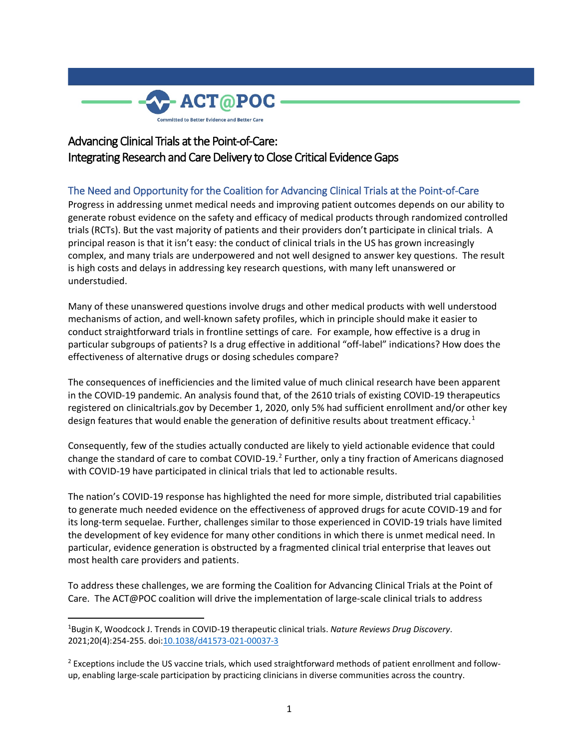

# Advancing Clinical Trials at the Point-of-Care: Integrating Research and Care Delivery to Close Critical Evidence Gaps

# The Need and Opportunity for the Coalition for Advancing Clinical Trials at the Point-of-Care

Progress in addressing unmet medical needs and improving patient outcomes depends on our ability to generate robust evidence on the safety and efficacy of medical products through randomized controlled trials (RCTs). But the vast majority of patients and their providers don't participate in clinical trials. A principal reason is that it isn't easy: the conduct of clinical trials in the US has grown increasingly complex, and many trials are underpowered and not well designed to answer key questions. The result is high costs and delays in addressing key research questions, with many left unanswered or understudied.

Many of these unanswered questions involve drugs and other medical products with well understood mechanisms of action, and well-known safety profiles, which in principle should make it easier to conduct straightforward trials in frontline settings of care. For example, how effective is a drug in particular subgroups of patients? Is a drug effective in additional "off-label" indications? How does the effectiveness of alternative drugs or dosing schedules compare?

The consequences of inefficiencies and the limited value of much clinical research have been apparent in the COVID-19 pandemic. An analysis found that, of the 2610 trials of existing COVID-19 therapeutics registered on clinicaltrials.gov by December 1, 2020, only 5% had sufficient enrollment and/or other key design features that would enable the generation of definitive results about treatment efficacy.<sup>[1](#page-0-0)</sup>

Consequently, few of the studies actually conducted are likely to yield actionable evidence that could change the standard of care to combat COVID-19.<sup>[2](#page-0-1)</sup> Further, only a tiny fraction of Americans diagnosed with COVID-19 have participated in clinical trials that led to actionable results.

The nation's COVID-19 response has highlighted the need for more simple, distributed trial capabilities to generate much needed evidence on the effectiveness of approved drugs for acute COVID-19 and for its long-term sequelae. Further, challenges similar to those experienced in COVID-19 trials have limited the development of key evidence for many other conditions in which there is unmet medical need. In particular, evidence generation is obstructed by a fragmented clinical trial enterprise that leaves out most health care providers and patients.

To address these challenges, we are forming the Coalition for Advancing Clinical Trials at the Point of Care. The ACT@POC coalition will drive the implementation of large-scale clinical trials to address

<span id="page-0-0"></span> $\frac{1}{1}$ Bugin K, Woodcock J. Trends in COVID-19 therapeutic clinical trials. *Nature Reviews Drug Discovery*. 2021;20(4):254-255. doi[:10.1038/d41573-021-00037-3](https://doi.org/10.1038/d41573-021-00037-3)

<span id="page-0-1"></span> $<sup>2</sup>$  Exceptions include the US vaccine trials, which used straightforward methods of patient enrollment and follow-</sup> up, enabling large-scale participation by practicing clinicians in diverse communities across the country.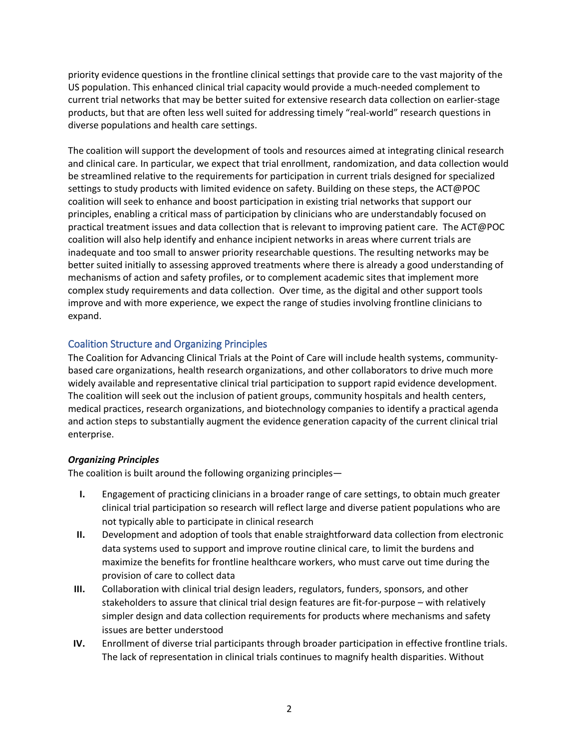priority evidence questions in the frontline clinical settings that provide care to the vast majority of the US population. This enhanced clinical trial capacity would provide a much-needed complement to current trial networks that may be better suited for extensive research data collection on earlier-stage products, but that are often less well suited for addressing timely "real-world" research questions in diverse populations and health care settings.

The coalition will support the development of tools and resources aimed at integrating clinical research and clinical care. In particular, we expect that trial enrollment, randomization, and data collection would be streamlined relative to the requirements for participation in current trials designed for specialized settings to study products with limited evidence on safety. Building on these steps, the ACT@POC coalition will seek to enhance and boost participation in existing trial networks that support our principles, enabling a critical mass of participation by clinicians who are understandably focused on practical treatment issues and data collection that is relevant to improving patient care. The ACT@POC coalition will also help identify and enhance incipient networks in areas where current trials are inadequate and too small to answer priority researchable questions. The resulting networks may be better suited initially to assessing approved treatments where there is already a good understanding of mechanisms of action and safety profiles, or to complement academic sites that implement more complex study requirements and data collection. Over time, as the digital and other support tools improve and with more experience, we expect the range of studies involving frontline clinicians to expand.

## Coalition Structure and Organizing Principles

The Coalition for Advancing Clinical Trials at the Point of Care will include health systems, communitybased care organizations, health research organizations, and other collaborators to drive much more widely available and representative clinical trial participation to support rapid evidence development. The coalition will seek out the inclusion of patient groups, community hospitals and health centers, medical practices, research organizations, and biotechnology companies to identify a practical agenda and action steps to substantially augment the evidence generation capacity of the current clinical trial enterprise.

#### *Organizing Principles*

The coalition is built around the following organizing principles—

- **I.** Engagement of practicing clinicians in a broader range of care settings, to obtain much greater clinical trial participation so research will reflect large and diverse patient populations who are not typically able to participate in clinical research
- **II.** Development and adoption of tools that enable straightforward data collection from electronic data systems used to support and improve routine clinical care, to limit the burdens and maximize the benefits for frontline healthcare workers, who must carve out time during the provision of care to collect data
- **III.** Collaboration with clinical trial design leaders, regulators, funders, sponsors, and other stakeholders to assure that clinical trial design features are fit-for-purpose – with relatively simpler design and data collection requirements for products where mechanisms and safety issues are better understood
- **IV.** Enrollment of diverse trial participants through broader participation in effective frontline trials. The lack of representation in clinical trials continues to magnify health disparities. Without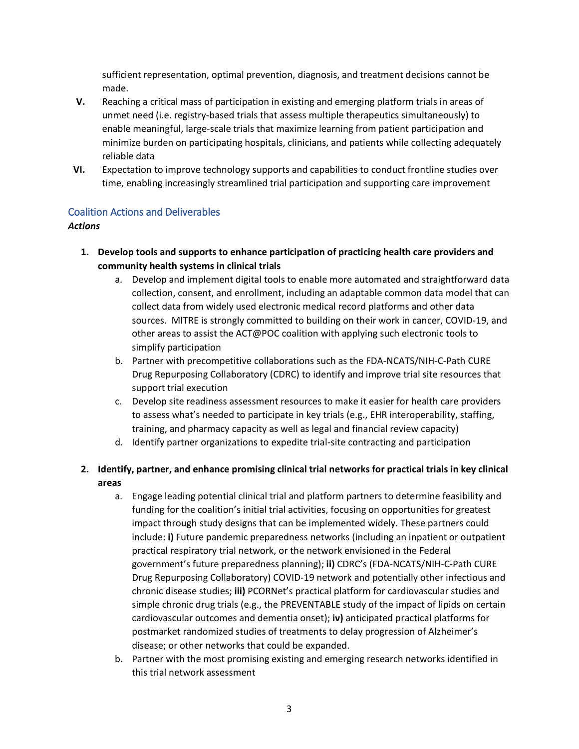sufficient representation, optimal prevention, diagnosis, and treatment decisions cannot be made.

- **V.** Reaching a critical mass of participation in existing and emerging platform trials in areas of unmet need (i.e. registry-based trials that assess multiple therapeutics simultaneously) to enable meaningful, large-scale trials that maximize learning from patient participation and minimize burden on participating hospitals, clinicians, and patients while collecting adequately reliable data
- **VI.** Expectation to improve technology supports and capabilities to conduct frontline studies over time, enabling increasingly streamlined trial participation and supporting care improvement

## Coalition Actions and Deliverables

#### *Actions*

- **1. Develop tools and supports to enhance participation of practicing health care providers and community health systems in clinical trials**
	- a. Develop and implement digital tools to enable more automated and straightforward data collection, consent, and enrollment, including an adaptable common data model that can collect data from widely used electronic medical record platforms and other data sources. MITRE is strongly committed to building on their work in cancer, COVID-19, and other areas to assist the ACT@POC coalition with applying such electronic tools to simplify participation
	- b. Partner with precompetitive collaborations such as the FDA-NCATS/NIH-C-Path CURE Drug Repurposing Collaboratory (CDRC) to identify and improve trial site resources that support trial execution
	- c. Develop site readiness assessment resources to make it easier for health care providers to assess what's needed to participate in key trials (e.g., EHR interoperability, staffing, training, and pharmacy capacity as well as legal and financial review capacity)
	- d. Identify partner organizations to expedite trial-site contracting and participation

# **2. Identify, partner, and enhance promising clinical trial networks for practical trials in key clinical areas**

- a. Engage leading potential clinical trial and platform partners to determine feasibility and funding for the coalition's initial trial activities, focusing on opportunities for greatest impact through study designs that can be implemented widely. These partners could include: **i)** Future pandemic preparedness networks (including an inpatient or outpatient practical respiratory trial network, or the network envisioned in the Federal government's future preparedness planning); **ii)** CDRC's (FDA-NCATS/NIH-C-Path CURE Drug Repurposing Collaboratory) COVID-19 network and potentially other infectious and chronic disease studies; **iii)** PCORNet's practical platform for cardiovascular studies and simple chronic drug trials (e.g., the PREVENTABLE study of the impact of lipids on certain cardiovascular outcomes and dementia onset); **iv)** anticipated practical platforms for postmarket randomized studies of treatments to delay progression of Alzheimer's disease; or other networks that could be expanded.
- b. Partner with the most promising existing and emerging research networks identified in this trial network assessment